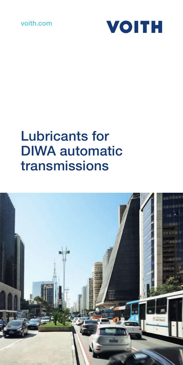### voith.com



### Lubricants for DIWA automatic transmissions

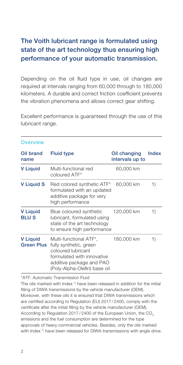### The Voith lubricant range is formulated using state of the art technology thus ensuring high performance of your automatic transmission.

Depending on the oil fluid type in use, oil changes are required at intervals ranging from 60,000 through to 180,000 kilometers. A durable and correct friction coefficient prevents the vibration phenomena and allows correct gear shifting.

Excellent performance is guaranteed through the use of this lubricant range.

| <b>Overview</b>                      |                                                                                                                                                                  |                                 |              |
|--------------------------------------|------------------------------------------------------------------------------------------------------------------------------------------------------------------|---------------------------------|--------------|
| Oil brand<br>name                    | <b>Fluid type</b>                                                                                                                                                | Oil changing<br>intervals up to | <b>Index</b> |
| <b>V</b> Liquid                      | Multi-functional red<br>coloured ATF*                                                                                                                            | 60,000 km                       |              |
| <b>V</b> Liquid S                    | Red colored synthetic ATF*<br>formulated with an updated<br>additive package for very<br>high performance                                                        | 60,000 km                       | 1)           |
| <b>V</b> Liquid<br><b>BLUS</b>       | Blue coloured synthetic<br>lubricant, formulated using<br>state of the art technology<br>to ensure high performance                                              | 120,000 km                      | 1)           |
| <b>V</b> Liquid<br><b>Green Plus</b> | Multi-functional ATF*,<br>fully synthetic, green<br>coloured lubricant<br>formulated with innovative<br>additive package and PAO<br>(Poly-Alpha-Olefin) base oil | 180,000 km                      | 1)           |

\*ATF: Automatic Transmission Fluid

The oils marked with Index 1) have been released in addition for the initial filling of DIWA transmissions by the vehicle manufacturer (OEM). Moreover, with these oils it is ensured that DIWA transmissions which are certified according to Regulation (EU) 2017 / 2400, comply with the certificate after the initial filling by the vehicle manufacturer (OEM). According to Regulation 2017/2400 of the European Union, the CO<sub>2</sub> emissions and the fuel consumption are determined for the type approvals of heavy commercial vehicles. Besides, only the oils marked with Index<sup>1)</sup> have been released for DIWA transmissions with angle drive.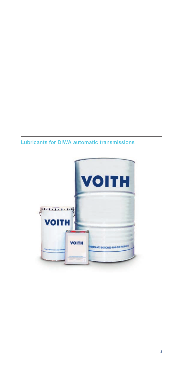#### Lubricants for DIWA automatic transmissions

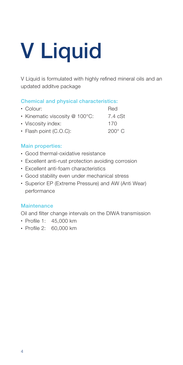## V Liquid

V Liquid is formulated with highly refined mineral oils and an updated additve package

#### Chemical and physical characteristics:

| $\cdot$ Colour:                | Red           |
|--------------------------------|---------------|
| • Kinematic viscosity @ 100°C: | 7.4 cSt       |
| • Viscosity index:             | 170           |
| $\cdot$ Flash point (C.O.C):   | $200^\circ$ C |

#### Main properties:

- Good thermal-oxidative resistance
- Excellent anti-rust protection avoiding corrosion
- Excellent anti-foam characteristics
- Good stability even under mechanical stress
- Superior EP (Extreme Pressure) and AW (Anti Wear) performance

#### **Maintenance**

Oil and filter change intervals on the DIWA transmission

- Profile 1: 45,000 km
- Profile 2: 60,000 km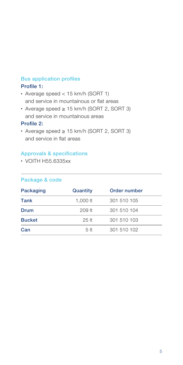#### Bus application profiles

#### Profile 1:

- Average speed < 15 km/h (SORT 1) and service in mountainous or flat areas
- Average speed ≥ 15 km/h (SORT 2, SORT 3) and service in mountainous areas

#### Profile 2:

• Average speed ≥ 15 km/h (SORT 2, SORT 3) and service in flat areas

#### Approvals & specifications

• VOITH H55.6335xx

| Packaging     | Quantity        | Order number |  |
|---------------|-----------------|--------------|--|
| Tank          | 1.000 lt        | 301 510 105  |  |
| Drum          | $209$ It        | 301 510 104  |  |
| <b>Bucket</b> | 25H             | 301 510 103  |  |
| Can           | 5 <sub>it</sub> | 301 510 102  |  |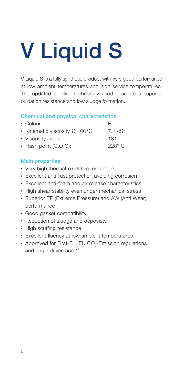# V Liquid S

V Liquid S is a fully synthetic product with very good perfomance at low ambient temperatures and high service temperatures. The updated additive technology used guarantees superior oxidation resistance and low sludge formation.

#### Chemical and physical characteristics:

| $\cdot$ Colour:                | Red              |
|--------------------------------|------------------|
| • Kinematic viscosity @ 100°C: | 7.1 cSt          |
| • Viscosity index:             | 181              |
| $\cdot$ Flash point (C.O.C):   | 228 $^{\circ}$ C |
|                                |                  |

#### Main properties:

- Very high thermal-oxidative resistance;
- Excellent anti-rust protection avoiding corrosion
- Excellent anti-foam and air release characteristics
- High shear stability even under mechanical stress
- Superior EP (Extreme Pressure) and AW (Anti Wear) performance
- Good gasket compatibility
- Reduction of sludge and deposists
- High scuffing resistance
- Excellent fluency at low ambient temperatures
- Approved for First-Fill, EU CO<sub>2</sub>-Emission regulations and angle drives acc.1)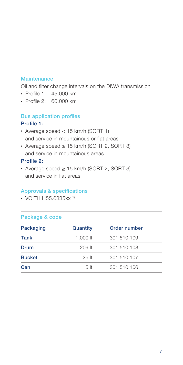#### **Maintenance**

Oil and filter change intervals on the DIWA transmission

- Profile 1: 45,000 km
- Profile 2: 60,000 km

#### Bus application profiles Profile 1:

- Average speed < 15 km/h (SORT 1) and service in mountainous or flat areas
- Average speed ≥ 15 km/h (SORT 2, SORT 3) and service in mountainous areas

#### Profile 2:

• Average speed ≥ 15 km/h (SORT 2, SORT 3) and service in flat areas

#### Approvals & specifications

• VOITH H55.6335xx 1)

| Packaging     | Quantity | Order number |  |
|---------------|----------|--------------|--|
| Tank          | 1.000 lt | 301 510 109  |  |
| Drum          | $209$ It | 301 510 108  |  |
| <b>Bucket</b> | 25H      | 301 510 107  |  |
| Can           | 5 It     | 301 510 106  |  |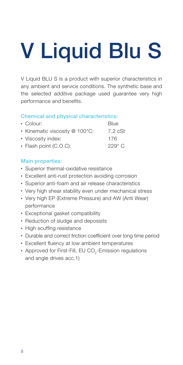# V Liquid Blu S

V Liquid BLU S is a product with superior characteristics in any ambient and service conditions. The synthetic base and the selected additive package used guarantee very high performance and benefits.

#### Chemical and physical characteristics:

| $\cdot$ Colour:                | Blue          |
|--------------------------------|---------------|
| • Kinematic viscosity @ 100°C: | 7.2 cSt       |
| • Viscosity index:             | 176           |
| $\cdot$ Flash point (C.O.C):   | $229^\circ$ C |
|                                |               |

#### Main properties:

- Superior thermal-oxidative resistance
- Excellent anti-rust protection avoiding corrosion
- Superior anti-foam and air release characteristics
- Very high shear stability even under mechanical stress
- Very high EP (Extreme Pressure) and AW (Anti Wear) performance
- Exceptional gasket compatibility
- Reduction of sludge and deposists
- High scuffing resistance
- Durable and correct friction coefficient over long time period
- Excellent fluency at low ambient temperatures
- Approved for First-Fill, EU CO<sub>2</sub>-Emission regulations and angle drives acc.1)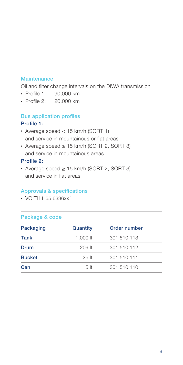#### **Maintenance**

Oil and filter change intervals on the DIWA transmission

- Profile 1: 90,000 km
- Profile 2: 120,000 km

#### Bus application profiles Profile 1:

- Average speed < 15 km/h (SORT 1) and service in mountainous or flat areas
- Average speed ≥ 15 km/h (SORT 2, SORT 3) and service in mountainous areas

#### Profile 2:

• Average speed ≥ 15 km/h (SORT 2, SORT 3) and service in flat areas

#### Approvals & specifications

 $\cdot$  VOITH H55.6336xx<sup>1)</sup>

| Packaging     | Quantity       | Order number |  |
|---------------|----------------|--------------|--|
| Tank          | 1.000 lt       | 301 510 113  |  |
| Drum          | $209$ It       | 301 510 112  |  |
| <b>Bucket</b> | 25H            | 301 510 111  |  |
| Can           | 5 <sub>h</sub> | 301 510 110  |  |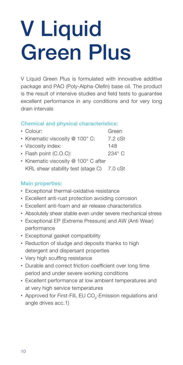### V Liquid Green Plus

V Liquid Green Plus is formulated with innovative additive package and PAO (Poly-Alpha-Olefin) base oil. The product is the result of intensive studies and field tests to guarantee excellent performance in any conditions and for very long drain intervals

#### Chemical and physical characteristics:

| • Colour:                                  | Green             |
|--------------------------------------------|-------------------|
| • Kinematic viscosity @ 100° C:            | $7.2 \text{ cSt}$ |
| • Viscosity index:                         | 148               |
| • Flash point (C.O.C):                     | $234^\circ$ C     |
| • Kinematic viscosity @ 100° C after       |                   |
| KRL shear stability test (stage C) 7.0 cSt |                   |

#### Main properties:

- Exceptional thermal-oxidative resistance
- Excellent anti-rust protection avoiding corrosion
- Excellent anti-foam and air release characteristics
- Absolutely shear stable even under severe mechanical stress
- Exceptional EP (Extreme Pressure) and AW (Anti Wear) performance
- Exceptional gasket compatibility
- Reduction of sludge and deposits thanks to high detergent and dispersant properties
- Very high scuffing resistance
- Durable and correct friction coefficient over long time period and under severe working conditions
- Excellent performance at low ambient temperatures and at very high service temperatures
- Approved for First-Fill, EU CO<sub>2</sub>-Emission regulations and angle drives acc.1)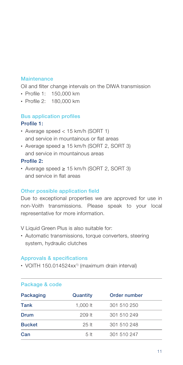#### **Maintenance**

Oil and filter change intervals on the DIWA transmission

- Profile 1: 150,000 km
- Profile 2: 180,000 km

#### Bus application profiles Profile 1:

- Average speed < 15 km/h (SORT 1) and service in mountainous or flat areas
- Average speed ≥ 15 km/h (SORT 2, SORT 3) and service in mountainous areas

#### Profile 2:

• Average speed ≥ 15 km/h (SORT 2, SORT 3) and service in flat areas

#### Other possible application field

Due to exceptional properties we are approved for use in non-Voith transmissions. Please speak to your local representative for more information.

V Liquid Green Plus is also suitable for:

• Automatic transmissions, torque converters, steering system, hydraulic clutches

#### Approvals & specifications

• VOITH 150.014524xx<sup>1)</sup> (maximum drain interval)

| Packaging     | Quantity       | Order number |  |
|---------------|----------------|--------------|--|
| Tank          | 1.000 lt       | 301 510 250  |  |
| Drum          | $209$ It       | 301 510 249  |  |
| <b>Bucket</b> | 25H            | 301 510 248  |  |
| Can           | 5 <sub>h</sub> | 301 510 247  |  |